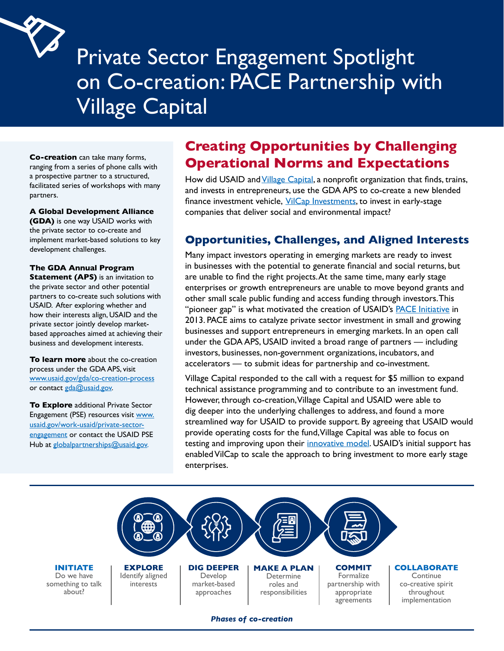

# Private Sector Engagement Spotlight on Co-creation: PACE Partnership with Village Capital

**Co-creation** can take many forms, ranging from a series of phone calls with a prospective partner to a structured, facilitated series of workshops with many partners.

#### **A Global Development Alliance**

 development challenges. **(GDA)** is one way USAID works with the private sector to co-create and implement market-based solutions to key

#### **The GDA Annual Program**

 USAID. After exploring whether and **Statement (APS)** is an invitation to the private sector and other potential partners to co-create such solutions with how their interests align, USAID and the private sector jointly develop marketbased approaches aimed at achieving their business and development interests.

www.usaid.gov/gda/co-creation-process<br>or contact <u>gda@usaid.gov</u>. **To learn more** about the co-creation process under the GDA APS, visit

**To Explore** additional Private Sector Engagement (PSE) resources visit www. usaid.gov/work-usaid/private-sectorengagement or contact the USAID PSE Hub at globalpartnerships@usaid.gov.

## **Creating Opportunities by Challenging Operational Norms and Expectations**

finance investment vehicle, *[VilCap Investments](https://www.vilcapinvestments.com)*, to invest in early-stage How did USAID and [Village Capital](https://vilcap.com), a nonprofit organization that finds, trains, and invests in entrepreneurs, use the GDA APS to co-create a new blended companies that deliver social and environmental impact?

## **Opportunities, Challenges, and Aligned Interests**

Many impact investors operating in emerging markets are ready to invest in businesses with the potential to generate financial and social returns, but are unable to find the right [projects.At](https://projects.At) the same time, many early stage enterprises or growth entrepreneurs are unable to move beyond grants and other small scale public funding and access funding through investors.This "pioneer gap" is what motivated the creation of USAID's **PACE** Initiative in 2013. PACE aims to catalyze private sector investment in small and growing businesses and support entrepreneurs in emerging markets. In an open call under the GDA APS, USAID invited a broad range of partners — including investors, businesses, non-government organizations, incubators, and accelerators — to submit ideas for partnership and co-investment.

Village Capital responded to the call with a request for \$5 million to expand technical assistance programming and to contribute to an investment fund. However, through co-creation,Village Capital and USAID were able to dig deeper into the underlying challenges to address, and found a more streamlined way for USAID to provide support. By agreeing that USAID would provide operating costs for the fund,Village Capital was able to focus on testing and improving upon their [innovative](https://www.usaid.gov/sites/default/files/documents/15396/Village_Capital_PACE_One_Pager_2019_-_Google_Docs.pdf) model. USAID's initial support has enabled VilCap to scale the approach to bring investment to more early stage enterprises.